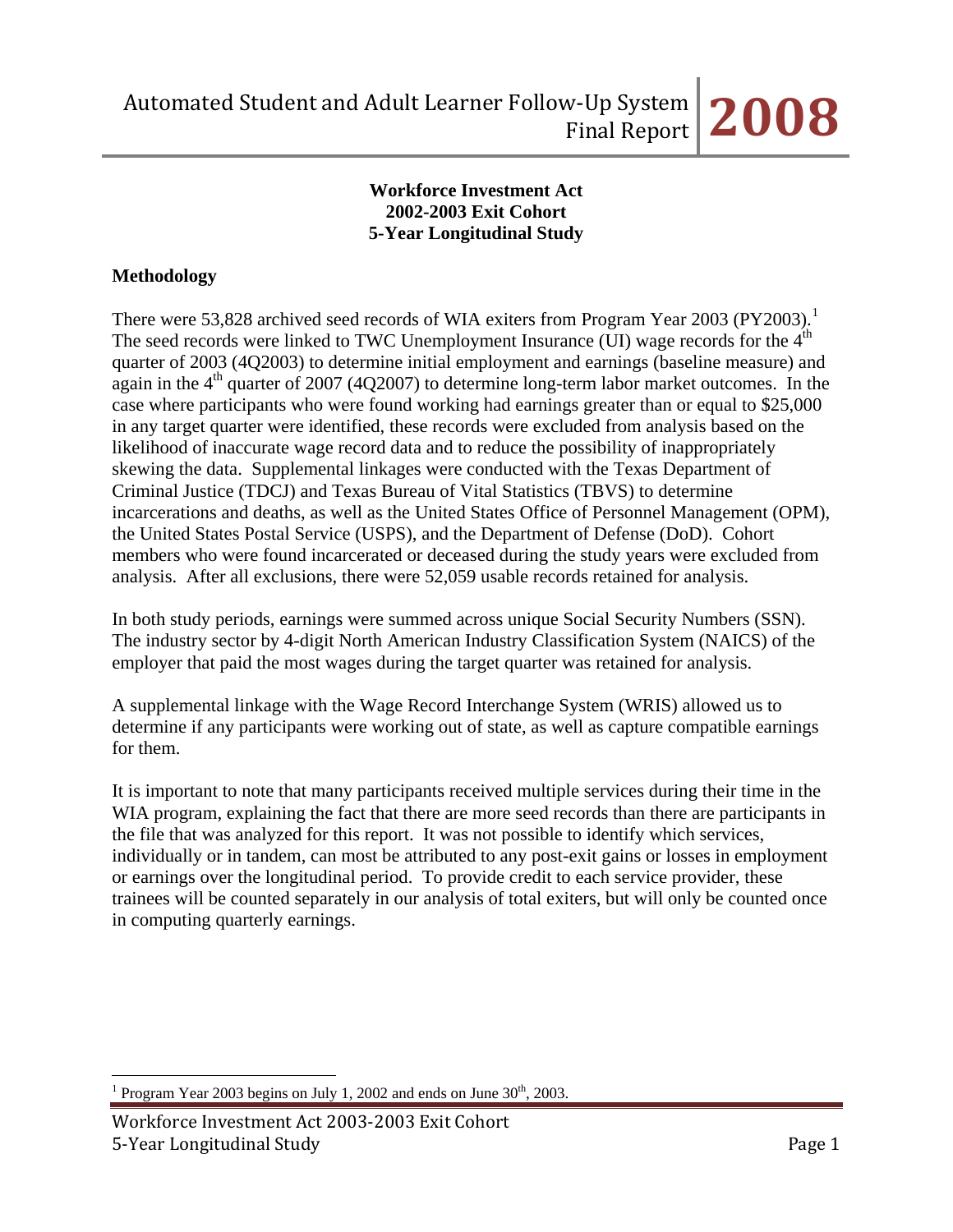## **Workforce Investment Act 2002-2003 Exit Cohort 5-Year Longitudinal Study**

# **Methodology**

There were 53,828 archived seed records of WIA exiters from Program Year 2003 (PY2003).<sup>[1](#page-0-0)</sup> The seed records were linked to TWC Unemployment Insurance (UI) wage records for the 4<sup>th</sup> quarter of 2003 (4Q2003) to determine initial employment and earnings (baseline measure) and again in the  $4<sup>th</sup>$  quarter of 2007 (4Q2007) to determine long-term labor market outcomes. In the case where participants who were found working had earnings greater than or equal to \$25,000 in any target quarter were identified, these records were excluded from analysis based on the likelihood of inaccurate wage record data and to reduce the possibility of inappropriately skewing the data. Supplemental linkages were conducted with the Texas Department of Criminal Justice (TDCJ) and Texas Bureau of Vital Statistics (TBVS) to determine incarcerations and deaths, as well as the United States Office of Personnel Management (OPM), the United States Postal Service (USPS), and the Department of Defense (DoD). Cohort members who were found incarcerated or deceased during the study years were excluded from analysis. After all exclusions, there were 52,059 usable records retained for analysis.

In both study periods, earnings were summed across unique Social Security Numbers (SSN). The industry sector by 4-digit North American Industry Classification System (NAICS) of the employer that paid the most wages during the target quarter was retained for analysis.

A supplemental linkage with the Wage Record Interchange System (WRIS) allowed us to determine if any participants were working out of state, as well as capture compatible earnings for them.

It is important to note that many participants received multiple services during their time in the WIA program, explaining the fact that there are more seed records than there are participants in the file that was analyzed for this report. It was not possible to identify which services, individually or in tandem, can most be attributed to any post-exit gains or losses in employment or earnings over the longitudinal period. To provide credit to each service provider, these trainees will be counted separately in our analysis of total exiters, but will only be counted once in computing quarterly earnings.

<span id="page-0-0"></span> $\overline{a}$ <sup>1</sup> Program Year 2003 begins on July 1, 2002 and ends on June  $30<sup>th</sup>$ , 2003.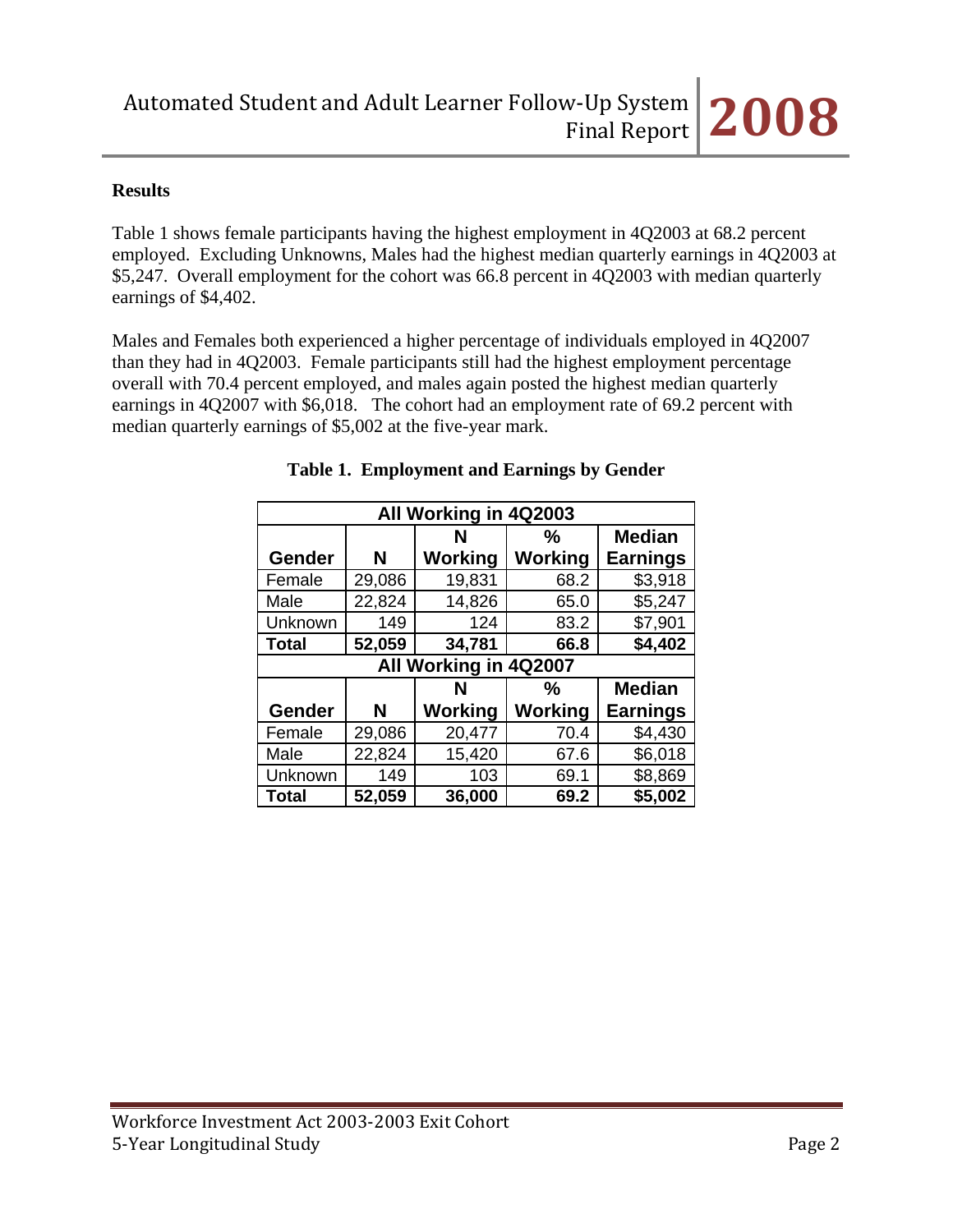### **Results**

Table 1 shows female participants having the highest employment in 4Q2003 at 68.2 percent employed. Excluding Unknowns, Males had the highest median quarterly earnings in 4Q2003 at \$5,247. Overall employment for the cohort was 66.8 percent in 4Q2003 with median quarterly earnings of \$4,402.

Males and Females both experienced a higher percentage of individuals employed in 4Q2007 than they had in 4Q2003. Female participants still had the highest employment percentage overall with 70.4 percent employed, and males again posted the highest median quarterly earnings in 4Q2007 with \$6,018. The cohort had an employment rate of 69.2 percent with median quarterly earnings of \$5,002 at the five-year mark.

| All Working in 4Q2003   |        |                       |         |                 |  |  |  |  |
|-------------------------|--------|-----------------------|---------|-----------------|--|--|--|--|
| <b>Median</b><br>%<br>N |        |                       |         |                 |  |  |  |  |
| Gender                  | N      | Working               | Working | <b>Earnings</b> |  |  |  |  |
| Female                  | 29,086 | 19,831                | 68.2    | \$3,918         |  |  |  |  |
| Male                    | 22,824 | 14,826                | 65.0    | \$5,247         |  |  |  |  |
| Unknown                 | 149    | 124                   | 83.2    | \$7,901         |  |  |  |  |
| <b>Total</b>            | 52,059 | 34,781                | 66.8    | \$4,402         |  |  |  |  |
|                         |        | All Working in 4Q2007 |         |                 |  |  |  |  |
|                         |        | N                     | %       | <b>Median</b>   |  |  |  |  |
| Gender                  | N      | Working               | Working | <b>Earnings</b> |  |  |  |  |
| Female                  | 29,086 | 20,477                | 70.4    | \$4,430         |  |  |  |  |
| Male                    | 22,824 | 15,420                | 67.6    | \$6,018         |  |  |  |  |
| Unknown                 | 149    | 103                   | 69.1    | \$8,869         |  |  |  |  |
| <b>Total</b>            | 52,059 | 36,000                | 69.2    | \$5,002         |  |  |  |  |

### **Table 1. Employment and Earnings by Gender**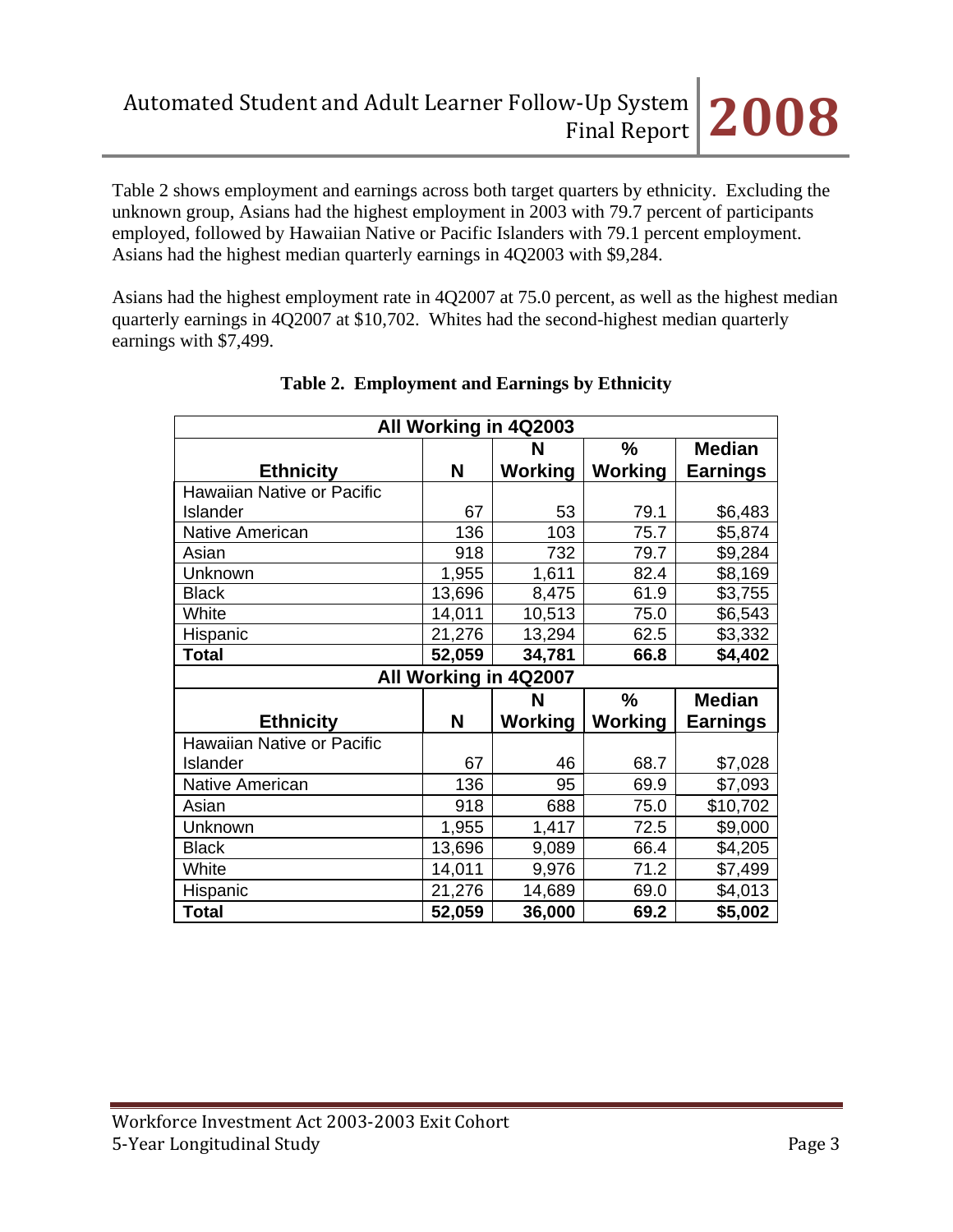Table 2 shows employment and earnings across both target quarters by ethnicity. Excluding the unknown group, Asians had the highest employment in 2003 with 79.7 percent of participants employed, followed by Hawaiian Native or Pacific Islanders with 79.1 percent employment. Asians had the highest median quarterly earnings in 4Q2003 with \$9,284.

Asians had the highest employment rate in 4Q2007 at 75.0 percent, as well as the highest median quarterly earnings in 4Q2007 at \$10,702. Whites had the second-highest median quarterly earnings with \$7,499.

| All Working in 4Q2003             |        |                |               |                 |  |  |  |  |
|-----------------------------------|--------|----------------|---------------|-----------------|--|--|--|--|
|                                   |        | N              | $\frac{0}{0}$ | <b>Median</b>   |  |  |  |  |
| <b>Ethnicity</b>                  | N      | Working        | Working       | <b>Earnings</b> |  |  |  |  |
| <b>Hawaiian Native or Pacific</b> |        |                |               |                 |  |  |  |  |
| Islander                          | 67     | 53             | 79.1          | \$6,483         |  |  |  |  |
| <b>Native American</b>            | 136    | 103            | 75.7          | \$5,874         |  |  |  |  |
| Asian                             | 918    | 732            | 79.7          | \$9,284         |  |  |  |  |
| Unknown                           | 1,955  | 1,611          | 82.4          | \$8,169         |  |  |  |  |
| <b>Black</b>                      | 13,696 | 8,475          | 61.9          | \$3,755         |  |  |  |  |
| White                             | 14,011 | 10,513         | 75.0          | \$6,543         |  |  |  |  |
| Hispanic                          | 21,276 | 13,294         | 62.5          | \$3,332         |  |  |  |  |
| Total                             | 52,059 | 34,781         | 66.8          | \$4,402         |  |  |  |  |
| All Working in 4Q2007             |        |                |               |                 |  |  |  |  |
|                                   |        |                |               |                 |  |  |  |  |
|                                   |        | N              | $\frac{9}{6}$ | <b>Median</b>   |  |  |  |  |
| <b>Ethnicity</b>                  | N      | <b>Working</b> | Working       | Earnings        |  |  |  |  |
| Hawaiian Native or Pacific        |        |                |               |                 |  |  |  |  |
| Islander                          | 67     | 46             | 68.7          | \$7,028         |  |  |  |  |
| <b>Native American</b>            | 136    | 95             | 69.9          | \$7,093         |  |  |  |  |
| Asian                             | 918    | 688            | 75.0          | \$10,702        |  |  |  |  |
| Unknown                           | 1,955  | 1,417          | 72.5          | \$9,000         |  |  |  |  |
| <b>Black</b>                      | 13,696 | 9,089          | 66.4          | \$4,205         |  |  |  |  |
| White                             | 14,011 | 9,976          | 71.2          | \$7,499         |  |  |  |  |
| Hispanic                          | 21,276 | 14,689         | 69.0          | \$4,013         |  |  |  |  |

## **Table 2. Employment and Earnings by Ethnicity**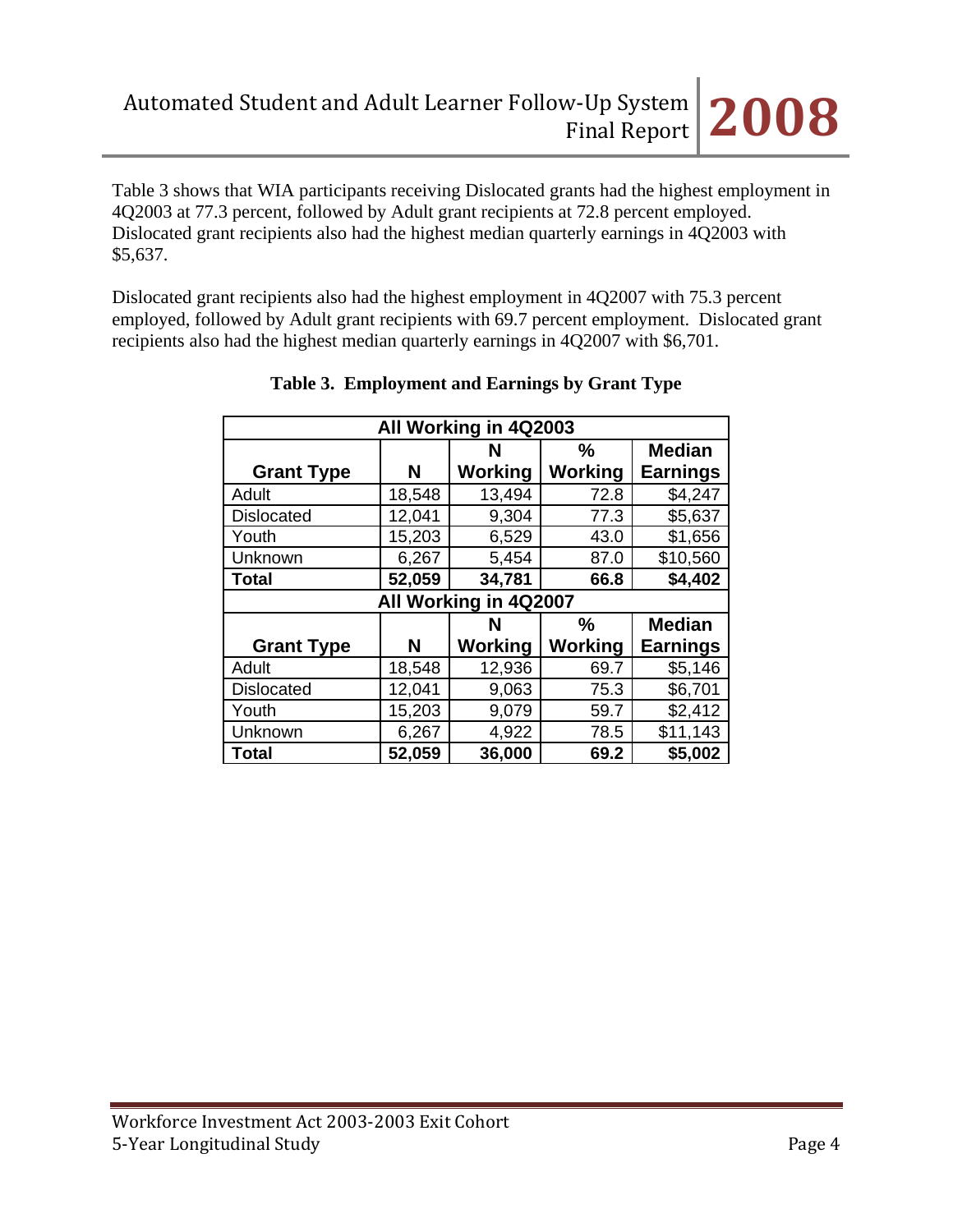Table 3 shows that WIA participants receiving Dislocated grants had the highest employment in 4Q2003 at 77.3 percent, followed by Adult grant recipients at 72.8 percent employed. Dislocated grant recipients also had the highest median quarterly earnings in 4Q2003 with \$5,637.

Dislocated grant recipients also had the highest employment in 4Q2007 with 75.3 percent employed, followed by Adult grant recipients with 69.7 percent employment. Dislocated grant recipients also had the highest median quarterly earnings in 4Q2007 with \$6,701.

| All Working in 4Q2003                                                  |        |                       |               |                 |  |  |  |  |  |  |
|------------------------------------------------------------------------|--------|-----------------------|---------------|-----------------|--|--|--|--|--|--|
| <b>Median</b><br>$\frac{0}{0}$<br>N                                    |        |                       |               |                 |  |  |  |  |  |  |
| <b>Grant Type</b>                                                      | N      | <b>Working</b>        | Working       | <b>Earnings</b> |  |  |  |  |  |  |
| Adult                                                                  | 18,548 | 13,494                | 72.8          | \$4,247         |  |  |  |  |  |  |
| <b>Dislocated</b>                                                      | 12,041 | 9,304                 | 77.3          | \$5,637         |  |  |  |  |  |  |
| Youth                                                                  | 15,203 | 6,529                 | 43.0          | \$1,656         |  |  |  |  |  |  |
| Unknown                                                                | 6,267  | 5,454                 | 87.0          | \$10,560        |  |  |  |  |  |  |
| <b>Total</b>                                                           | 52,059 | 34,781                | 66.8          | \$4,402         |  |  |  |  |  |  |
|                                                                        |        | All Working in 4Q2007 |               |                 |  |  |  |  |  |  |
|                                                                        |        | N                     | $\frac{0}{0}$ | <b>Median</b>   |  |  |  |  |  |  |
| <b>Working</b><br>Working<br><b>Earnings</b><br><b>Grant Type</b><br>N |        |                       |               |                 |  |  |  |  |  |  |
| Adult                                                                  | 18,548 | 12,936                | 69.7          | \$5,146         |  |  |  |  |  |  |
| <b>Dislocated</b>                                                      | 12,041 | 9,063                 | 75.3          | \$6,701         |  |  |  |  |  |  |
| Youth                                                                  | 15,203 | 9,079                 | 59.7          | \$2,412         |  |  |  |  |  |  |
| Unknown                                                                | 6,267  | 4,922                 | 78.5          | \$11,143        |  |  |  |  |  |  |
| <b>Total</b>                                                           |        |                       | 69.2          | \$5,002         |  |  |  |  |  |  |

| Table 3. Employment and Earnings by Grant Type |  |
|------------------------------------------------|--|
|                                                |  |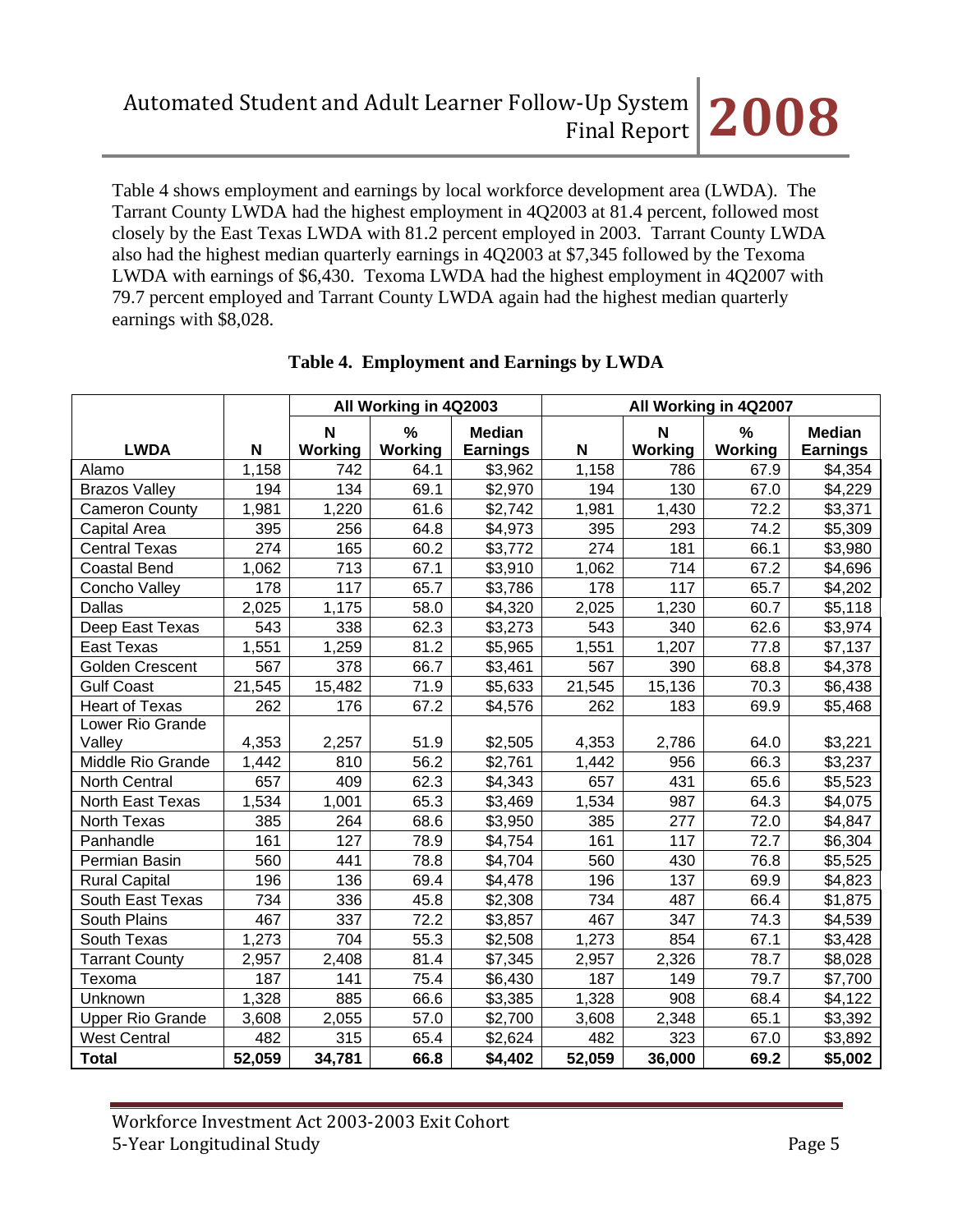Table 4 shows employment and earnings by local workforce development area (LWDA). The Tarrant County LWDA had the highest employment in 4Q2003 at 81.4 percent, followed most closely by the East Texas LWDA with 81.2 percent employed in 2003. Tarrant County LWDA also had the highest median quarterly earnings in 4Q2003 at \$7,345 followed by the Texoma LWDA with earnings of \$6,430. Texoma LWDA had the highest employment in 4Q2007 with 79.7 percent employed and Tarrant County LWDA again had the highest median quarterly earnings with \$8,028.

|                         |        | All Working in 4Q2003 |                    | All Working in 4Q2007 |        |                           |         |                 |
|-------------------------|--------|-----------------------|--------------------|-----------------------|--------|---------------------------|---------|-----------------|
|                         |        | ${\bf N}$             | %<br><b>Median</b> |                       |        | $\boldsymbol{\mathsf{N}}$ | $\%$    | <b>Median</b>   |
| <b>LWDA</b>             | N      | Working               | Working            | <b>Earnings</b>       | N      | Working                   | Working | <b>Earnings</b> |
| Alamo                   | 1,158  | 742                   | 64.1               | \$3,962               | 1,158  | 786                       | 67.9    | \$4,354         |
| <b>Brazos Valley</b>    | 194    | 134                   | 69.1               | \$2,970               | 194    | 130                       | 67.0    | \$4,229         |
| <b>Cameron County</b>   | 1,981  | 1,220                 | 61.6               | \$2,742               | 1,981  | 1,430                     | 72.2    | \$3,371         |
| Capital Area            | 395    | 256                   | 64.8               | \$4,973               | 395    | 293                       | 74.2    | \$5,309         |
| <b>Central Texas</b>    | 274    | 165                   | 60.2               | \$3,772               | 274    | 181                       | 66.1    | \$3,980         |
| <b>Coastal Bend</b>     | 1,062  | 713                   | 67.1               | \$3,910               | 1,062  | 714                       | 67.2    | \$4,696         |
| Concho Valley           | 178    | 117                   | 65.7               | \$3,786               | 178    | 117                       | 65.7    | \$4,202         |
| <b>Dallas</b>           | 2,025  | 1,175                 | 58.0               | \$4,320               | 2,025  | 1,230                     | 60.7    | \$5,118         |
| Deep East Texas         | 543    | 338                   | 62.3               | \$3,273               | 543    | 340                       | 62.6    | \$3,974         |
| <b>East Texas</b>       | 1,551  | 1,259                 | 81.2               | \$5,965               | 1,551  | 1,207                     | 77.8    | \$7,137         |
| <b>Golden Crescent</b>  | 567    | 378                   | 66.7               | \$3,461               | 567    | 390                       | 68.8    | \$4,378         |
| <b>Gulf Coast</b>       | 21,545 | 15,482                | 71.9               | \$5,633               | 21,545 | 15,136                    | 70.3    | \$6,438         |
| <b>Heart of Texas</b>   | 262    | 176                   | 67.2               | \$4,576               | 262    | 183                       | 69.9    | \$5,468         |
| Lower Rio Grande        |        |                       |                    |                       |        |                           |         |                 |
| Valley                  | 4,353  | 2,257                 | 51.9               | \$2,505               | 4,353  | 2,786                     | 64.0    | \$3,221         |
| Middle Rio Grande       | 1,442  | 810                   | 56.2               | \$2,761               | 1,442  | 956                       | 66.3    | \$3,237         |
| North Central           | 657    | 409                   | 62.3               | \$4,343               | 657    | 431                       | 65.6    | \$5,523         |
| North East Texas        | 1,534  | 1,001                 | 65.3               | \$3,469               | 1,534  | 987                       | 64.3    | \$4,075         |
| <b>North Texas</b>      | 385    | 264                   | 68.6               | \$3,950               | 385    | 277                       | 72.0    | \$4,847         |
| Panhandle               | 161    | 127                   | 78.9               | \$4,754               | 161    | 117                       | 72.7    | \$6,304         |
| Permian Basin           | 560    | 441                   | 78.8               | \$4,704               | 560    | 430                       | 76.8    | \$5,525         |
| <b>Rural Capital</b>    | 196    | 136                   | 69.4               | \$4,478               | 196    | 137                       | 69.9    | \$4,823         |
| South East Texas        | 734    | 336                   | 45.8               | \$2,308               | 734    | 487                       | 66.4    | \$1,875         |
| South Plains            | 467    | 337                   | 72.2               | \$3,857               | 467    | 347                       | 74.3    | \$4,539         |
| South Texas             | 1,273  | 704                   | 55.3               | \$2,508               | 1,273  | 854                       | 67.1    | \$3,428         |
| <b>Tarrant County</b>   | 2,957  | 2,408                 | 81.4               | \$7,345               | 2,957  | 2,326                     | 78.7    | \$8,028         |
| Texoma                  | 187    | 141                   | 75.4               | \$6,430               | 187    | 149                       | 79.7    | \$7,700         |
| Unknown                 | 1,328  | 885                   | 66.6               | \$3,385               | 1,328  | 908                       | 68.4    | \$4,122         |
| <b>Upper Rio Grande</b> | 3,608  | 2,055                 | 57.0               | \$2,700               | 3,608  | 2,348                     | 65.1    | \$3,392         |
| <b>West Central</b>     | 482    | 315                   | 65.4               | \$2,624               | 482    | 323                       | 67.0    | \$3,892         |
| <b>Total</b>            | 52,059 | 34,781                | 66.8               | \$4,402               | 52,059 | 36,000                    | 69.2    | \$5,002         |

### **Table 4. Employment and Earnings by LWDA**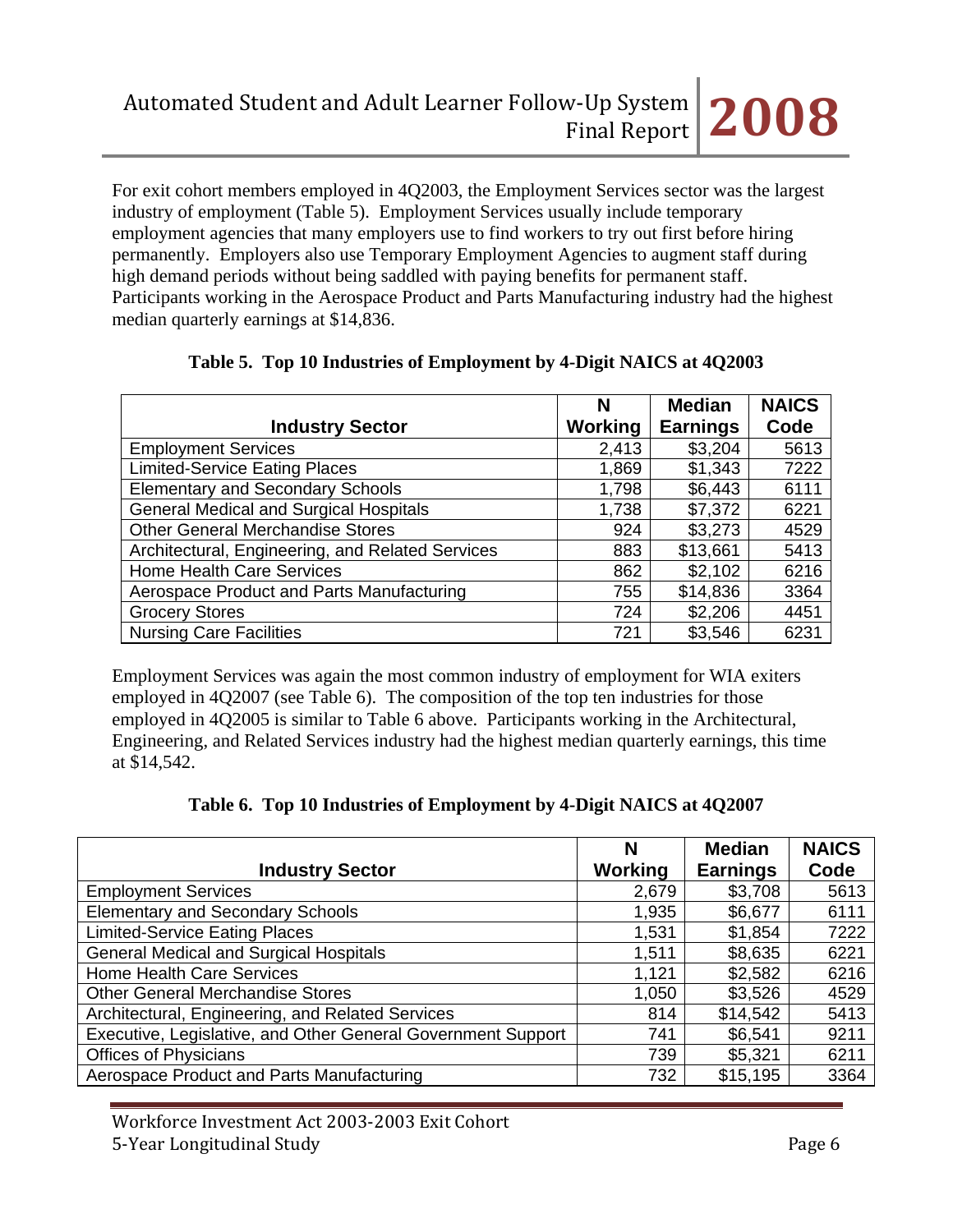For exit cohort members employed in 4Q2003, the Employment Services sector was the largest industry of employment (Table 5). Employment Services usually include temporary employment agencies that many employers use to find workers to try out first before hiring permanently. Employers also use Temporary Employment Agencies to augment staff during high demand periods without being saddled with paying benefits for permanent staff. Participants working in the Aerospace Product and Parts Manufacturing industry had the highest median quarterly earnings at \$14,836.

|                                                  | N       | <b>Median</b>   | <b>NAICS</b> |
|--------------------------------------------------|---------|-----------------|--------------|
| <b>Industry Sector</b>                           | Working | <b>Earnings</b> | Code         |
| <b>Employment Services</b>                       | 2,413   | \$3,204         | 5613         |
| <b>Limited-Service Eating Places</b>             | 1,869   | \$1,343         | 7222         |
| <b>Elementary and Secondary Schools</b>          | 1,798   | \$6,443         | 6111         |
| <b>General Medical and Surgical Hospitals</b>    | 1,738   | \$7,372         | 6221         |
| <b>Other General Merchandise Stores</b>          | 924     | \$3,273         | 4529         |
| Architectural, Engineering, and Related Services | 883     | \$13,661        | 5413         |
| <b>Home Health Care Services</b>                 | 862     | \$2,102         | 6216         |
| Aerospace Product and Parts Manufacturing        | 755     | \$14,836        | 3364         |
| <b>Grocery Stores</b>                            | 724     | \$2,206         | 4451         |
| <b>Nursing Care Facilities</b>                   | 721     | \$3,546         | 6231         |

|  | Table 5. Top 10 Industries of Employment by 4-Digit NAICS at 4Q2003 |  |  |  |
|--|---------------------------------------------------------------------|--|--|--|
|--|---------------------------------------------------------------------|--|--|--|

Employment Services was again the most common industry of employment for WIA exiters employed in 4Q2007 (see Table 6). The composition of the top ten industries for those employed in 4Q2005 is similar to Table 6 above. Participants working in the Architectural, Engineering, and Related Services industry had the highest median quarterly earnings, this time at \$14,542.

|  |  | Table 6. Top 10 Industries of Employment by 4-Digit NAICS at 4Q2007 |  |
|--|--|---------------------------------------------------------------------|--|
|  |  |                                                                     |  |

|                                                              | N       | <b>Median</b>   | <b>NAICS</b> |
|--------------------------------------------------------------|---------|-----------------|--------------|
| <b>Industry Sector</b>                                       | Working | <b>Earnings</b> | Code         |
| <b>Employment Services</b>                                   | 2,679   | \$3,708         | 5613         |
| <b>Elementary and Secondary Schools</b>                      | 1,935   | \$6,677         | 6111         |
| <b>Limited-Service Eating Places</b>                         | 1,531   | \$1,854         | 7222         |
| <b>General Medical and Surgical Hospitals</b>                | 1,511   | \$8,635         | 6221         |
| Home Health Care Services                                    | 1,121   | \$2,582         | 6216         |
| <b>Other General Merchandise Stores</b>                      | 1,050   | \$3,526         | 4529         |
| Architectural, Engineering, and Related Services             | 814     | \$14,542        | 5413         |
| Executive, Legislative, and Other General Government Support | 741     | \$6,541         | 9211         |
| <b>Offices of Physicians</b>                                 | 739     | \$5,321         | 6211         |
| Aerospace Product and Parts Manufacturing                    | 732     | \$15,195        | 3364         |

Workforce Investment Act 2003‐2003 Exit Cohort 5‐Year Longitudinal Study Page 6